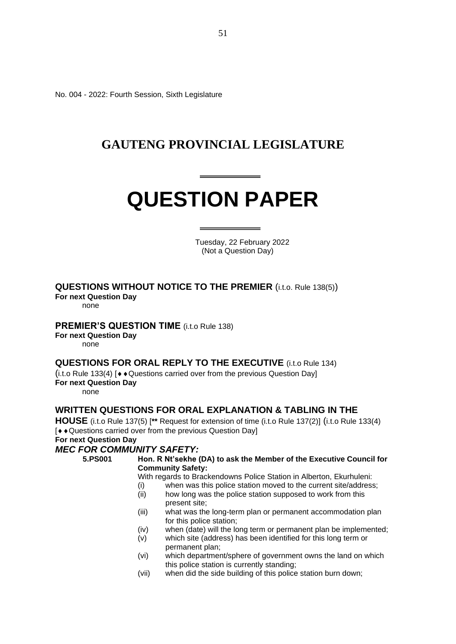No. 004 - 2022: Fourth Session, Sixth Legislature

### **GAUTENG PROVINCIAL LEGISLATURE**

# **QUESTION PAPER**

 Tuesday, 22 February 2022 (Not a Question Day)

### **QUESTIONS WITHOUT NOTICE TO THE PREMIER** (i.t.o. Rule 138(5))

**For next Question Day**

none

### **PREMIER'S QUESTION TIME** (i.t.o Rule 138)

**For next Question Day**

none

### **QUESTIONS FOR ORAL REPLY TO THE EXECUTIVE** (i.t.o Rule 134)

 $(i.t. o Rule 133(4)$  [ $\rightarrow$  Questions carried over from the previous Question Day] **For next Question Day**

none

### **WRITTEN QUESTIONS FOR ORAL EXPLANATION & TABLING IN THE**

**HOUSE** (i.t.o Rule 137(5) [**\*\*** Request for extension of time (i.t.o Rule 137(2)] (i.t.o Rule 133(4) [ $\leftrightarrow$  Questions carried over from the previous Question Day] **For next Question Day**

## *MEC FOR COMMUNITY SAFETY:*

**5.PS001 Hon. R Nt'sekhe (DA) to ask the Member of the Executive Council for Community Safety:**

With regards to Brackendowns Police Station in Alberton, Ekurhuleni:

- (i) when was this police station moved to the current site/address;
- (ii) how long was the police station supposed to work from this present site;
- (iii) what was the long-term plan or permanent accommodation plan for this police station;
- (iv) when (date) will the long term or permanent plan be implemented;
- (v) which site (address) has been identified for this long term or permanent plan;
- (vi) which department/sphere of government owns the land on which this police station is currently standing;
- (vii) when did the side building of this police station burn down;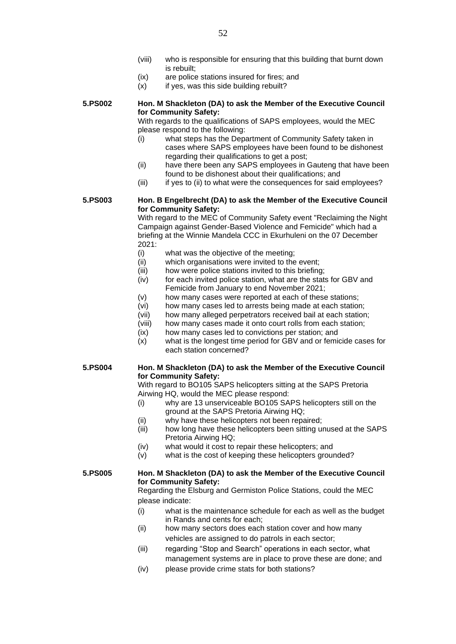- (viii) who is responsible for ensuring that this building that burnt down is rebuilt;
- (ix) are police stations insured for fires; and
- $(x)$  if yes, was this side building rebuilt?

**5.PS002 Hon. M Shackleton (DA) to ask the Member of the Executive Council for Community Safety:**

With regards to the qualifications of SAPS employees, would the MEC please respond to the following:

- (i) what steps has the Department of Community Safety taken in cases where SAPS employees have been found to be dishonest regarding their qualifications to get a post:
- (ii) have there been any SAPS employees in Gauteng that have been found to be dishonest about their qualifications; and
- (iii) if yes to (ii) to what were the consequences for said employees?

**5.PS003 Hon. B Engelbrecht (DA) to ask the Member of the Executive Council for Community Safety:**

With regard to the MEC of Community Safety event "Reclaiming the Night Campaign against Gender-Based Violence and Femicide" which had a briefing at the Winnie Mandela CCC in Ekurhuleni on the 07 December 2021:

- (i) what was the objective of the meeting;
- (ii) which organisations were invited to the event;
- (iii) how were police stations invited to this briefing;
- (iv) for each invited police station, what are the stats for GBV and Femicide from January to end November 2021;
- (v) how many cases were reported at each of these stations;
- (vi) how many cases led to arrests being made at each station;
- (vii) how many alleged perpetrators received bail at each station;
- (viii) how many cases made it onto court rolls from each station;
- (ix) how many cases led to convictions per station; and
- (x) what is the longest time period for GBV and or femicide cases for each station concerned?

### **5.PS004 Hon. M Shackleton (DA) to ask the Member of the Executive Council for Community Safety:**

With regard to BO105 SAPS helicopters sitting at the SAPS Pretoria Airwing HQ, would the MEC please respond:

- (i) why are 13 unserviceable BO105 SAPS helicopters still on the ground at the SAPS Pretoria Airwing HQ;
- (ii) why have these helicopters not been repaired;
- (iii) how long have these helicopters been sitting unused at the SAPS Pretoria Airwing HQ;
- (iv) what would it cost to repair these helicopters; and
- (v) what is the cost of keeping these helicopters grounded?

### **5.PS005 Hon. M Shackleton (DA) to ask the Member of the Executive Council for Community Safety:**

Regarding the Elsburg and Germiston Police Stations, could the MEC please indicate:

- (i) what is the maintenance schedule for each as well as the budget in Rands and cents for each;
- (ii) how many sectors does each station cover and how many vehicles are assigned to do patrols in each sector;
- (iii) regarding "Stop and Search" operations in each sector, what management systems are in place to prove these are done; and
- (iv) please provide crime stats for both stations?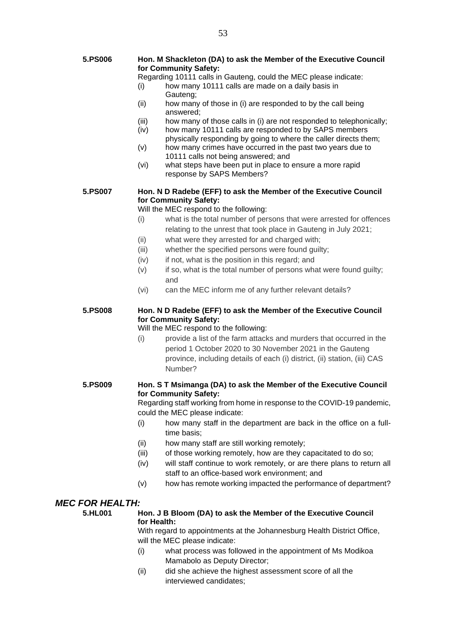- **5.PS006 Hon. M Shackleton (DA) to ask the Member of the Executive Council for Community Safety:**
	- Regarding 10111 calls in Gauteng, could the MEC please indicate:
	- (i) how many 10111 calls are made on a daily basis in Gauteng;
	- (ii) how many of those in (i) are responded to by the call being answered;
	- (iii) how many of those calls in (i) are not responded to telephonically;
	- (iv) how many 10111 calls are responded to by SAPS members physically responding by going to where the caller directs them;
	- (v) how many crimes have occurred in the past two years due to 10111 calls not being answered; and
	- (vi) what steps have been put in place to ensure a more rapid response by SAPS Members?

### **5.PS007 Hon. N D Radebe (EFF) to ask the Member of the Executive Council for Community Safety:**

Will the MEC respond to the following:

- (i) what is the total number of persons that were arrested for offences relating to the unrest that took place in Gauteng in July 2021;
- (ii) what were they arrested for and charged with;
- (iii) whether the specified persons were found guilty;
- (iv) if not, what is the position in this regard; and
- (v) if so, what is the total number of persons what were found guilty; and
- (vi) can the MEC inform me of any further relevant details?

### **5.PS008 Hon. N D Radebe (EFF) to ask the Member of the Executive Council for Community Safety:**

### Will the MEC respond to the following:

(i) provide a list of the farm attacks and murders that occurred in the period 1 October 2020 to 30 November 2021 in the Gauteng province, including details of each (i) district, (ii) station, (iii) CAS Number?

### **5.PS009 Hon. S T Msimanga (DA) to ask the Member of the Executive Council for Community Safety:**

Regarding staff working from home in response to the COVID-19 pandemic, could the MEC please indicate:

- (i) how many staff in the department are back in the office on a fulltime basis;
- (ii) how many staff are still working remotely;
- (iii) of those working remotely, how are they capacitated to do so;
- (iv) will staff continue to work remotely, or are there plans to return all staff to an office-based work environment; and
- (v) how has remote working impacted the performance of department?

### *MEC FOR HEALTH:*

### **5.HL001 Hon. J B Bloom (DA) to ask the Member of the Executive Council for Health:**

With regard to appointments at the Johannesburg Health District Office, will the MEC please indicate:

- (i) what process was followed in the appointment of Ms Modikoa Mamabolo as Deputy Director;
- (ii) did she achieve the highest assessment score of all the interviewed candidates;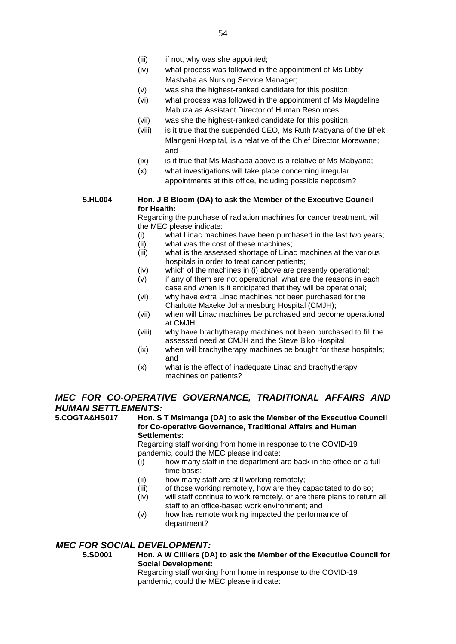- (iii) if not, why was she appointed;
- (iv) what process was followed in the appointment of Ms Libby Mashaba as Nursing Service Manager;
- (v) was she the highest-ranked candidate for this position;
- (vi) what process was followed in the appointment of Ms Magdeline Mabuza as Assistant Director of Human Resources;
- (vii) was she the highest-ranked candidate for this position;
- (viii) is it true that the suspended CEO, Ms Ruth Mabyana of the Bheki Mlangeni Hospital, is a relative of the Chief Director Morewane; and
- (ix) is it true that Ms Mashaba above is a relative of Ms Mabyana;
- (x) what investigations will take place concerning irregular appointments at this office, including possible nepotism?

### **5.HL004 Hon. J B Bloom (DA) to ask the Member of the Executive Council for Health:**

Regarding the purchase of radiation machines for cancer treatment, will the MEC please indicate:

- (i) what Linac machines have been purchased in the last two years;
- (ii) what was the cost of these machines;
- (iii) what is the assessed shortage of Linac machines at the various hospitals in order to treat cancer patients;
- (iv) which of the machines in (i) above are presently operational;
- (v) if any of them are not operational, what are the reasons in each case and when is it anticipated that they will be operational;
- (vi) why have extra Linac machines not been purchased for the Charlotte Maxeke Johannesburg Hospital (CMJH);
- (vii) when will Linac machines be purchased and become operational at CMJH;
- (viii) why have brachytherapy machines not been purchased to fill the assessed need at CMJH and the Steve Biko Hospital;
- (ix) when will brachytherapy machines be bought for these hospitals; and
- (x) what is the effect of inadequate Linac and brachytherapy machines on patients?

### *MEC FOR CO-OPERATIVE GOVERNANCE, TRADITIONAL AFFAIRS AND HUMAN SETTLEMENTS:*

**Hon. S T Msimanga (DA) to ask the Member of the Executive Council for Co-operative Governance, Traditional Affairs and Human Settlements:** Regarding staff working from home in response to the COVID-19 pandemic, could the MEC please indicate:

- (i) how many staff in the department are back in the office on a fulltime basis;
- (ii) how many staff are still working remotely;
- (iii) of those working remotely, how are they capacitated to do so;
- (iv) will staff continue to work remotely, or are there plans to return all staff to an office-based work environment; and
- (v) how has remote working impacted the performance of department?

### *MEC FOR SOCIAL DEVELOPMENT:*

**5.SD001 Hon. A W Cilliers (DA) to ask the Member of the Executive Council for Social Development:**

Regarding staff working from home in response to the COVID-19 pandemic, could the MEC please indicate: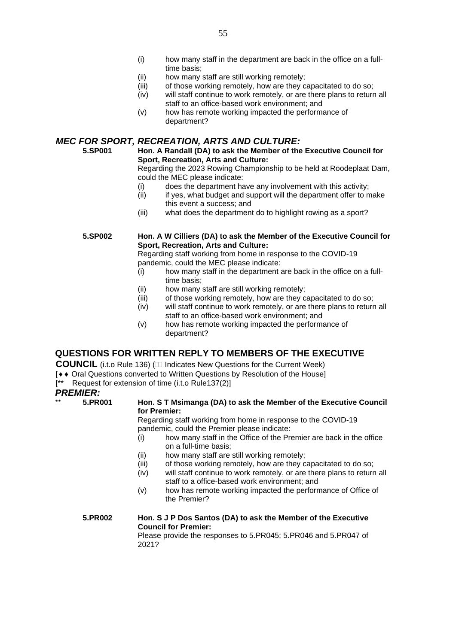- (i) how many staff in the department are back in the office on a fulltime basis;
- (ii) how many staff are still working remotely;
- (iii) of those working remotely, how are they capacitated to do so;
- (iv) will staff continue to work remotely, or are there plans to return all staff to an office-based work environment; and
- (v) how has remote working impacted the performance of department?

### *MEC FOR SPORT, RECREATION, ARTS AND CULTURE:*

### **5.SP001 Hon. A Randall (DA) to ask the Member of the Executive Council for Sport, Recreation, Arts and Culture:**

Regarding the 2023 Rowing Championship to be held at Roodeplaat Dam, could the MEC please indicate:

- (i) does the department have any involvement with this activity;
- (ii) if yes, what budget and support will the department offer to make this event a success; and
- (iii) what does the department do to highlight rowing as a sport?

### **5.SP002 Hon. A W Cilliers (DA) to ask the Member of the Executive Council for Sport, Recreation, Arts and Culture:**

Regarding staff working from home in response to the COVID-19 pandemic, could the MEC please indicate:

- $(i)$  how many staff in the department are back in the office on a fulltime basis;
- (ii) how many staff are still working remotely;
- (iii) of those working remotely, how are they capacitated to do so;
- (iv) will staff continue to work remotely, or are there plans to return all staff to an office-based work environment; and
- (v) how has remote working impacted the performance of department?

### **QUESTIONS FOR WRITTEN REPLY TO MEMBERS OF THE EXECUTIVE**

**COUNCIL** (i.t.o Rule 136) ( Indicates New Questions for the Current Week)

- [ $\leftrightarrow$  Oral Questions converted to Written Questions by Resolution of the Housel
- -<br><sup>[\*\*</sup> Request for extension of time (i.t.o Rule137(2)]

### *PREMIER:*<br>\*\* 5.PR001

Hon. S T Msimanga (DA) to ask the Member of the Executive Council **for Premier:**

Regarding staff working from home in response to the COVID-19 pandemic, could the Premier please indicate:

- (i) how many staff in the Office of the Premier are back in the office on a full-time basis;
- (ii) how many staff are still working remotely;
- (iii) of those working remotely, how are they capacitated to do so;
- (iv) will staff continue to work remotely, or are there plans to return all staff to a office-based work environment; and
- (v) how has remote working impacted the performance of Office of the Premier?

### **5.PR002 Hon. S J P Dos Santos (DA) to ask the Member of the Executive Council for Premier:**

Please provide the responses to 5.PR045; 5.PR046 and 5.PR047 of 2021?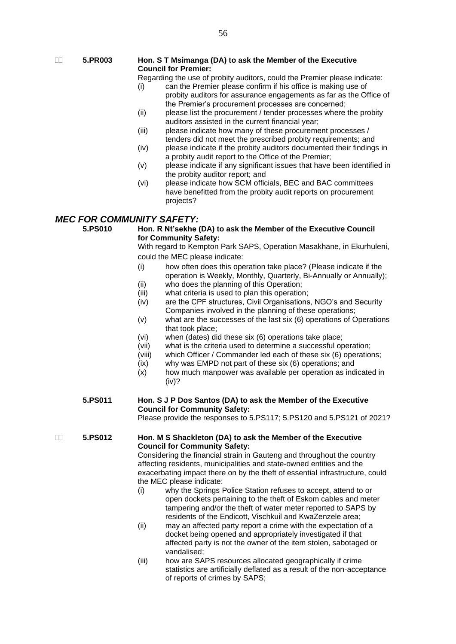### **5.PR003 Hon. S T Msimanga (DA) to ask the Member of the Executive Council for Premier:**

Regarding the use of probity auditors, could the Premier please indicate:

- (i) can the Premier please confirm if his office is making use of probity auditors for assurance engagements as far as the Office of the Premier's procurement processes are concerned;
- (ii) please list the procurement / tender processes where the probity auditors assisted in the current financial year;
- (iii) please indicate how many of these procurement processes / tenders did not meet the prescribed probity requirements; and
- (iv) please indicate if the probity auditors documented their findings in a probity audit report to the Office of the Premier;
- (v) please indicate if any significant issues that have been identified in the probity auditor report; and
- (vi) please indicate how SCM officials, BEC and BAC committees have benefitted from the probity audit reports on procurement projects?

## *MEC FOR COMMUNITY SAFETY:*

**5.PS010 Hon. R Nt'sekhe (DA) to ask the Member of the Executive Council for Community Safety:**

With regard to Kempton Park SAPS, Operation Masakhane, in Ekurhuleni, could the MEC please indicate:

- (i) how often does this operation take place? (Please indicate if the operation is Weekly, Monthly, Quarterly, Bi-Annually or Annually);
- (ii) who does the planning of this Operation;
- (iii) what criteria is used to plan this operation;
- (iv) are the CPF structures, Civil Organisations, NGO's and Security Companies involved in the planning of these operations;
- (v) what are the successes of the last six (6) operations of Operations that took place;
- (vi) when (dates) did these six (6) operations take place;
- (vii) what is the criteria used to determine a successful operation;
- (viii) which Officer / Commander led each of these six (6) operations;
- $(ix)$  why was EMPD not part of these six  $(6)$  operations; and  $(x)$  how much manpower was available per operation as ind
- how much manpower was available per operation as indicated in (iv)?

### **5.PS011 Hon. S J P Dos Santos (DA) to ask the Member of the Executive Council for Community Safety:**

Please provide the responses to 5.PS117; 5.PS120 and 5.PS121 of 2021?

### **5.PS012 Hon. M S Shackleton (DA) to ask the Member of the Executive Council for Community Safety:**

Considering the financial strain in Gauteng and throughout the country affecting residents, municipalities and state-owned entities and the exacerbating impact there on by the theft of essential infrastructure, could the MEC please indicate:

- (i) why the Springs Police Station refuses to accept, attend to or open dockets pertaining to the theft of Eskom cables and meter tampering and/or the theft of water meter reported to SAPS by residents of the Endicott, Vischkuil and KwaZenzele area;
- (ii) may an affected party report a crime with the expectation of a docket being opened and appropriately investigated if that affected party is not the owner of the item stolen, sabotaged or vandalised;
- (iii) how are SAPS resources allocated geographically if crime statistics are artificially deflated as a result of the non-acceptance of reports of crimes by SAPS;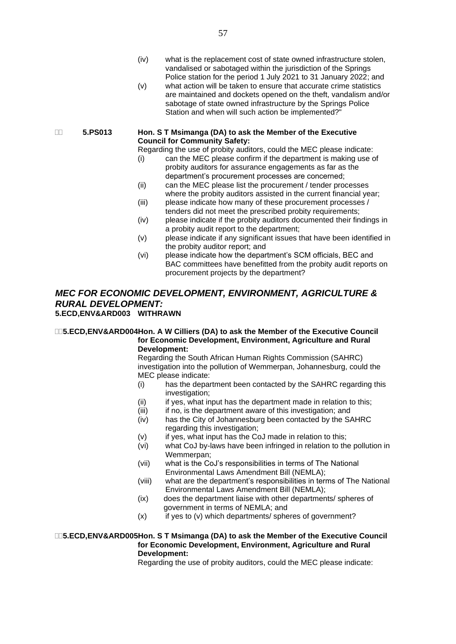- (iv) what is the replacement cost of state owned infrastructure stolen, vandalised or sabotaged within the jurisdiction of the Springs Police station for the period 1 July 2021 to 31 January 2022; and
- (v) what action will be taken to ensure that accurate crime statistics are maintained and dockets opened on the theft, vandalism and/or sabotage of state owned infrastructure by the Springs Police Station and when will such action be implemented?"

### **5.PS013 Hon. S T Msimanga (DA) to ask the Member of the Executive Council for Community Safety:**

Regarding the use of probity auditors, could the MEC please indicate:

- (i) can the MEC please confirm if the department is making use of probity auditors for assurance engagements as far as the department's procurement processes are concerned;
- (ii) can the MEC please list the procurement / tender processes where the probity auditors assisted in the current financial year;
- (iii) please indicate how many of these procurement processes / tenders did not meet the prescribed probity requirements;
- (iv) please indicate if the probity auditors documented their findings in a probity audit report to the department;
- (v) please indicate if any significant issues that have been identified in the probity auditor report; and
- (vi) please indicate how the department's SCM officials, BEC and BAC committees have benefitted from the probity audit reports on procurement projects by the department?

### *MEC FOR ECONOMIC DEVELOPMENT, ENVIRONMENT, AGRICULTURE & RURAL DEVELOPMENT:* **5.ECD,ENV&ARD003 WITHRAWN**

### **5.ECD,ENV&ARD004Hon. A W Cilliers (DA) to ask the Member of the Executive Council for Economic Development, Environment, Agriculture and Rural Development:**

Regarding the South African Human Rights Commission (SAHRC) investigation into the pollution of Wemmerpan, Johannesburg, could the MEC please indicate:

- (i) has the department been contacted by the SAHRC regarding this investigation;
- $(ii)$  if yes, what input has the department made in relation to this;
- (iii) if no, is the department aware of this investigation; and
- (iv) has the City of Johannesburg been contacted by the SAHRC regarding this investigation;
- (v) if yes, what input has the CoJ made in relation to this;
- (vi) what CoJ by-laws have been infringed in relation to the pollution in Wemmerpan;
- (vii) what is the CoJ's responsibilities in terms of The National Environmental Laws Amendment Bill (NEMLA);
- (viii) what are the department's responsibilities in terms of The National Environmental Laws Amendment Bill (NEMLA);
- (ix) does the department liaise with other departments/ spheres of government in terms of NEMLA; and
- $(x)$  if yes to (v) which departments/ spheres of government?

### **5.ECD,ENV&ARD005Hon. S T Msimanga (DA) to ask the Member of the Executive Council for Economic Development, Environment, Agriculture and Rural Development:**

Regarding the use of probity auditors, could the MEC please indicate: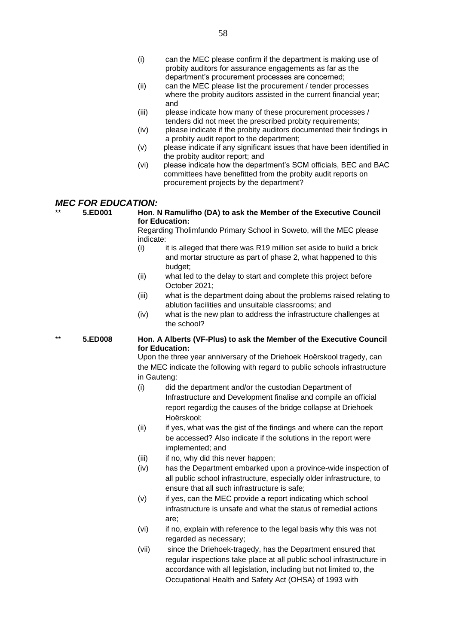- (i) can the MEC please confirm if the department is making use of probity auditors for assurance engagements as far as the department's procurement processes are concerned;
- (ii) can the MEC please list the procurement / tender processes where the probity auditors assisted in the current financial year; and
- (iii) please indicate how many of these procurement processes / tenders did not meet the prescribed probity requirements;
- (iv) please indicate if the probity auditors documented their findings in a probity audit report to the department;
- (v) please indicate if any significant issues that have been identified in the probity auditor report; and
- (vi) please indicate how the department's SCM officials, BEC and BAC committees have benefitted from the probity audit reports on procurement projects by the department?

### *MEC FOR EDUCATION:*

### \*\* **5.ED001 Hon. N Ramulifho (DA) to ask the Member of the Executive Council for Education:**

Regarding Tholimfundo Primary School in Soweto, will the MEC please indicate:

- $(i)$  it is alleged that there was R19 million set aside to build a brick and mortar structure as part of phase 2, what happened to this budget;
- (ii) what led to the delay to start and complete this project before October 2021;
- (iii) what is the department doing about the problems raised relating to ablution facilities and unsuitable classrooms; and
- (iv) what is the new plan to address the infrastructure challenges at the school?

### \*\* **5.ED008 Hon. A Alberts (VF-Plus) to ask the Member of the Executive Council for Education:**

Upon the three year anniversary of the Driehoek Hoërskool tragedy, can the MEC indicate the following with regard to public schools infrastructure in Gauteng:

- (i) did the department and/or the custodian Department of Infrastructure and Development finalise and compile an official report regardi;g the causes of the bridge collapse at Driehoek Hoërskool;
- (ii) if yes, what was the gist of the findings and where can the report be accessed? Also indicate if the solutions in the report were implemented; and
- (iii) if no, why did this never happen;
- (iv) has the Department embarked upon a province-wide inspection of all public school infrastructure, especially older infrastructure, to ensure that all such infrastructure is safe;
- (v) if yes, can the MEC provide a report indicating which school infrastructure is unsafe and what the status of remedial actions are;
- (vi) if no, explain with reference to the legal basis why this was not regarded as necessary;
- (vii) since the Driehoek-tragedy, has the Department ensured that regular inspections take place at all public school infrastructure in accordance with all legislation, including but not limited to, the Occupational Health and Safety Act (OHSA) of 1993 with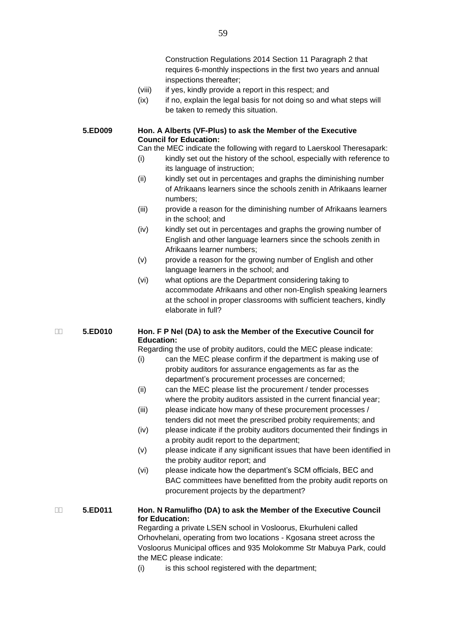Construction Regulations 2014 Section 11 Paragraph 2 that requires 6-monthly inspections in the first two years and annual inspections thereafter;

- (viii) if yes, kindly provide a report in this respect; and
- (ix) if no, explain the legal basis for not doing so and what steps will be taken to remedy this situation.

### **5.ED009 Hon. A Alberts (VF-Plus) to ask the Member of the Executive Council for Education:**

Can the MEC indicate the following with regard to Laerskool Theresapark:

- (i) kindly set out the history of the school, especially with reference to its language of instruction;
- (ii) kindly set out in percentages and graphs the diminishing number of Afrikaans learners since the schools zenith in Afrikaans learner numbers;
- (iii) provide a reason for the diminishing number of Afrikaans learners in the school; and
- (iv) kindly set out in percentages and graphs the growing number of English and other language learners since the schools zenith in Afrikaans learner numbers;
- (v) provide a reason for the growing number of English and other language learners in the school; and
- (vi) what options are the Department considering taking to accommodate Afrikaans and other non-English speaking learners at the school in proper classrooms with sufficient teachers, kindly elaborate in full?

### **5.ED010 Hon. F P Nel (DA) to ask the Member of the Executive Council for Education:**

Regarding the use of probity auditors, could the MEC please indicate:

- (i) can the MEC please confirm if the department is making use of probity auditors for assurance engagements as far as the department's procurement processes are concerned;
- (ii) can the MEC please list the procurement / tender processes where the probity auditors assisted in the current financial year;
- (iii) please indicate how many of these procurement processes / tenders did not meet the prescribed probity requirements; and
- (iv) please indicate if the probity auditors documented their findings in a probity audit report to the department;
- (v) please indicate if any significant issues that have been identified in the probity auditor report; and
- (vi) please indicate how the department's SCM officials, BEC and BAC committees have benefitted from the probity audit reports on procurement projects by the department?

### **5.ED011 Hon. N Ramulifho (DA) to ask the Member of the Executive Council for Education:** Regarding a private LSEN school in Vosloorus, Ekurhuleni called Orhovhelani, operating from two locations - Kgosana street across the Vosloorus Municipal offices and 935 Molokomme Str Mabuya Park, could

the MEC please indicate:

(i) is this school registered with the department;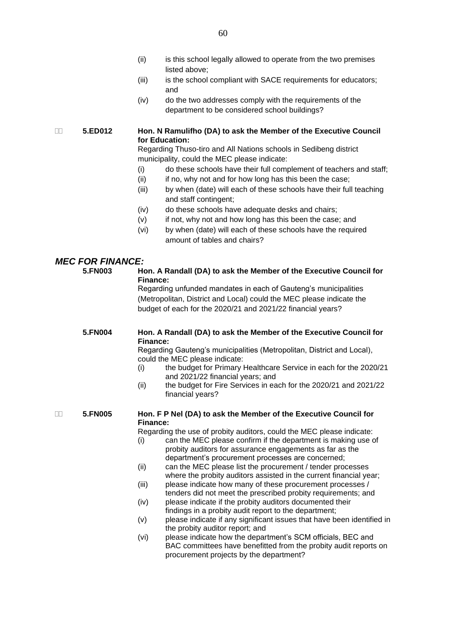- (ii) is this school legally allowed to operate from the two premises listed above;
- (iii) is the school compliant with SACE requirements for educators; and
- (iv) do the two addresses comply with the requirements of the department to be considered school buildings?

 **5.ED012 Hon. N Ramulifho (DA) to ask the Member of the Executive Council for Education:**

Regarding Thuso-tiro and All Nations schools in Sedibeng district municipality, could the MEC please indicate:

- (i) do these schools have their full complement of teachers and staff;
- (ii) if no, why not and for how long has this been the case;
- (iii) by when (date) will each of these schools have their full teaching and staff contingent;
- (iv) do these schools have adequate desks and chairs;
- (v) if not, why not and how long has this been the case; and
- (vi) by when (date) will each of these schools have the required amount of tables and chairs?

### *MEC FOR FINANCE:*

### **5.FN003 Hon. A Randall (DA) to ask the Member of the Executive Council for Finance:**

Regarding unfunded mandates in each of Gauteng's municipalities (Metropolitan, District and Local) could the MEC please indicate the budget of each for the 2020/21 and 2021/22 financial years?

### **5.FN004 Hon. A Randall (DA) to ask the Member of the Executive Council for Finance:**

Regarding Gauteng's municipalities (Metropolitan, District and Local), could the MEC please indicate:

- (i) the budget for Primary Healthcare Service in each for the 2020/21 and 2021/22 financial years; and
- (ii) the budget for Fire Services in each for the 2020/21 and 2021/22 financial years?

### **5.FN005 Hon. F P Nel (DA) to ask the Member of the Executive Council for Finance:**

Regarding the use of probity auditors, could the MEC please indicate:

- (i) can the MEC please confirm if the department is making use of probity auditors for assurance engagements as far as the department's procurement processes are concerned;
- (ii) can the MEC please list the procurement / tender processes where the probity auditors assisted in the current financial year;
- (iii) please indicate how many of these procurement processes / tenders did not meet the prescribed probity requirements; and
- (iv) please indicate if the probity auditors documented their findings in a probity audit report to the department;
- (v) please indicate if any significant issues that have been identified in the probity auditor report; and
- (vi) please indicate how the department's SCM officials, BEC and BAC committees have benefitted from the probity audit reports on procurement projects by the department?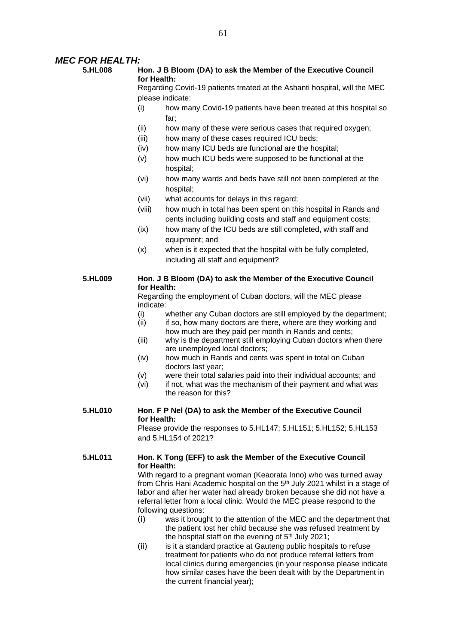### *MEC FOR HEALTH:*

### **5.HL008 Hon. J B Bloom (DA) to ask the Member of the Executive Council for Health:**

Regarding Covid-19 patients treated at the Ashanti hospital, will the MEC please indicate:

- (i) how many Covid-19 patients have been treated at this hospital so far;
- (ii) how many of these were serious cases that required oxygen;
- (iii) how many of these cases required ICU beds;
- (iv) how many ICU beds are functional are the hospital;
- (v) how much ICU beds were supposed to be functional at the hospital;
- (vi) how many wards and beds have still not been completed at the hospital;
- (vii) what accounts for delays in this regard;
- (viii) how much in total has been spent on this hospital in Rands and cents including building costs and staff and equipment costs;
- (ix) how many of the ICU beds are still completed, with staff and equipment; and
- (x) when is it expected that the hospital with be fully completed, including all staff and equipment?

### **5.HL009 Hon. J B Bloom (DA) to ask the Member of the Executive Council for Health:**

Regarding the employment of Cuban doctors, will the MEC please indicate:

- (i) whether any Cuban doctors are still employed by the department;
- (ii) if so, how many doctors are there, where are they working and how much are they paid per month in Rands and cents;
- (iii) why is the department still employing Cuban doctors when there are unemployed local doctors;
- (iv) how much in Rands and cents was spent in total on Cuban doctors last year;
- (v) were their total salaries paid into their individual accounts; and
- (vi) if not, what was the mechanism of their payment and what was the reason for this?

### **5.HL010 Hon. F P Nel (DA) to ask the Member of the Executive Council for Health:**

Please provide the responses to 5.HL147; 5.HL151; 5.HL152; 5.HL153 and 5.HL154 of 2021?

### **5.HL011 Hon. K Tong (EFF) to ask the Member of the Executive Council for Health:**

With regard to a pregnant woman (Keaorata Inno) who was turned away from Chris Hani Academic hospital on the 5<sup>th</sup> July 2021 whilst in a stage of labor and after her water had already broken because she did not have a referral letter from a local clinic. Would the MEC please respond to the following questions:

- (i) was it brought to the attention of the MEC and the department that the patient lost her child because she was refused treatment by the hospital staff on the evening of  $5<sup>th</sup>$  July 2021;
- (ii) is it a standard practice at Gauteng public hospitals to refuse treatment for patients who do not produce referral letters from local clinics during emergencies (in your response please indicate how similar cases have the been dealt with by the Department in the current financial year);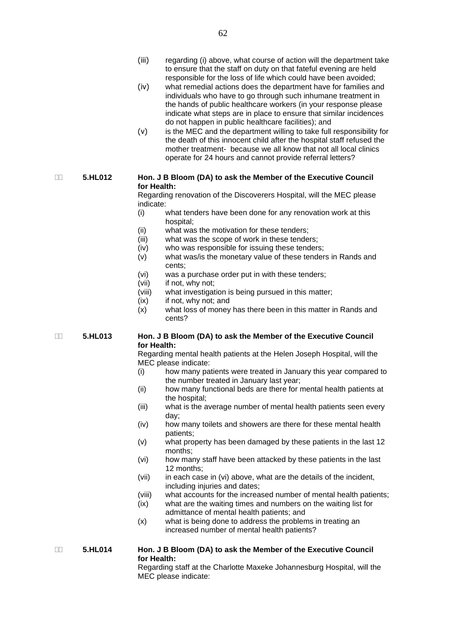- (iii) regarding (i) above, what course of action will the department take to ensure that the staff on duty on that fateful evening are held responsible for the loss of life which could have been avoided;
- (iv) what remedial actions does the department have for families and individuals who have to go through such inhumane treatment in the hands of public healthcare workers (in your response please indicate what steps are in place to ensure that similar incidences do not happen in public healthcare facilities); and
- (v) is the MEC and the department willing to take full responsibility for the death of this innocent child after the hospital staff refused the mother treatment- because we all know that not all local clinics operate for 24 hours and cannot provide referral letters?

### **5.HL012 Hon. J B Bloom (DA) to ask the Member of the Executive Council for Health:**

Regarding renovation of the Discoverers Hospital, will the MEC please indicate:

- (i) what tenders have been done for any renovation work at this hospital;
- (ii) what was the motivation for these tenders;
- (iii) what was the scope of work in these tenders;
- (iv) who was responsible for issuing these tenders;
- (v) what was/is the monetary value of these tenders in Rands and cents;
- (vi) was a purchase order put in with these tenders;
- (vii) if not, why not;
- (viii) what investigation is being pursued in this matter;
- (ix) if not, why not; and
- (x) what loss of money has there been in this matter in Rands and cents?

 **5.HL013 Hon. J B Bloom (DA) to ask the Member of the Executive Council for Health:**

> Regarding mental health patients at the Helen Joseph Hospital, will the MEC please indicate:

- (i) how many patients were treated in January this year compared to the number treated in January last year;
- (ii) how many functional beds are there for mental health patients at the hospital;
- (iii) what is the average number of mental health patients seen every day;
- (iv) how many toilets and showers are there for these mental health patients;
- (v) what property has been damaged by these patients in the last 12 months;
- (vi) how many staff have been attacked by these patients in the last 12 months;
- (vii) in each case in (vi) above, what are the details of the incident, including injuries and dates;
- (viii) what accounts for the increased number of mental health patients;
- (ix) what are the waiting times and numbers on the waiting list for admittance of mental health patients; and
- (x) what is being done to address the problems in treating an increased number of mental health patients?

 **5.HL014 Hon. J B Bloom (DA) to ask the Member of the Executive Council for Health:**

Regarding staff at the Charlotte Maxeke Johannesburg Hospital, will the MEC please indicate: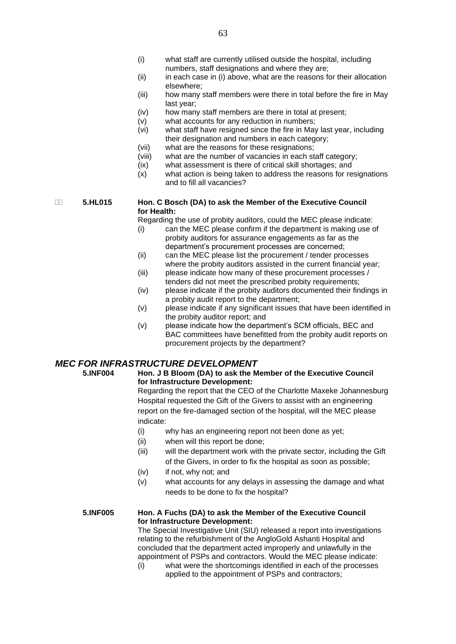- (i) what staff are currently utilised outside the hospital, including numbers, staff designations and where they are;
- (ii) in each case in (i) above, what are the reasons for their allocation elsewhere;
- (iii) how many staff members were there in total before the fire in May last year;
- (iv) how many staff members are there in total at present;
- (v) what accounts for any reduction in numbers;
- (vi) what staff have resigned since the fire in May last year, including their designation and numbers in each category;
- (vii) what are the reasons for these resignations;
- (viii) what are the number of vacancies in each staff category;
- (ix) what assessment is there of critical skill shortages; and
- (x) what action is being taken to address the reasons for resignations and to fill all vacancies?

 **5.HL015 Hon. C Bosch (DA) to ask the Member of the Executive Council for Health:**

Regarding the use of probity auditors, could the MEC please indicate:

- (i) can the MEC please confirm if the department is making use of probity auditors for assurance engagements as far as the department's procurement processes are concerned;
- (ii) can the MEC please list the procurement / tender processes where the probity auditors assisted in the current financial year;
- (iii) please indicate how many of these procurement processes / tenders did not meet the prescribed probity requirements;
- (iv) please indicate if the probity auditors documented their findings in a probity audit report to the department;
- (v) please indicate if any significant issues that have been identified in the probity auditor report; and
- (v) please indicate how the department's SCM officials, BEC and BAC committees have benefitted from the probity audit reports on procurement projects by the department?

### *MEC FOR INFRASTRUCTURE DEVELOPMENT*<br>5.INF004 Hon. J B Bloom (DA) to ask the M

### **5.INF004 Hon. J B Bloom (DA) to ask the Member of the Executive Council for Infrastructure Development:**

Regarding the report that the CEO of the Charlotte Maxeke Johannesburg Hospital requested the Gift of the Givers to assist with an engineering report on the fire-damaged section of the hospital, will the MEC please indicate:

- (i) why has an engineering report not been done as yet;
- (ii) when will this report be done;
- (iii) will the department work with the private sector, including the Gift of the Givers, in order to fix the hospital as soon as possible;
- (iv) if not, why not; and
- (v) what accounts for any delays in assessing the damage and what needs to be done to fix the hospital?

### **5.INF005 Hon. A Fuchs (DA) to ask the Member of the Executive Council for Infrastructure Development:**

The Special Investigative Unit (SIU) released a report into investigations relating to the refurbishment of the AngloGold Ashanti Hospital and concluded that the department acted improperly and unlawfully in the appointment of PSPs and contractors. Would the MEC please indicate:

(i) what were the shortcomings identified in each of the processes applied to the appointment of PSPs and contractors;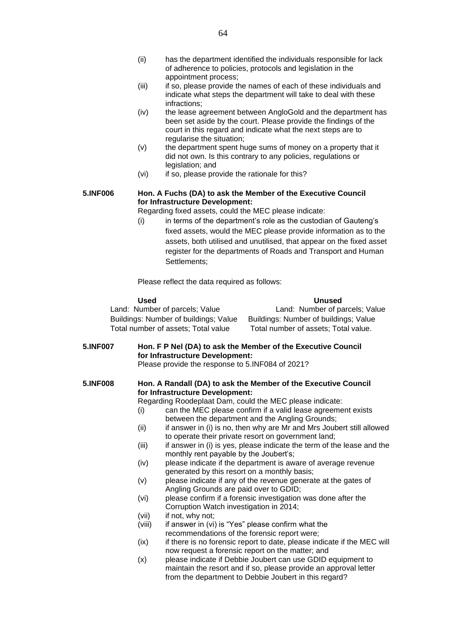- (ii) has the department identified the individuals responsible for lack of adherence to policies, protocols and legislation in the appointment process;
- (iii) if so, please provide the names of each of these individuals and indicate what steps the department will take to deal with these infractions;
- (iv) the lease agreement between AngloGold and the department has been set aside by the court. Please provide the findings of the court in this regard and indicate what the next steps are to regularise the situation;
- (v) the department spent huge sums of money on a property that it did not own. Is this contrary to any policies, regulations or legislation; and
- (vi) if so, please provide the rationale for this?

### **5.INF006 Hon. A Fuchs (DA) to ask the Member of the Executive Council for Infrastructure Development:**

Regarding fixed assets, could the MEC please indicate:

(i) in terms of the department's role as the custodian of Gauteng's fixed assets, would the MEC please provide information as to the assets, both utilised and unutilised, that appear on the fixed asset register for the departments of Roads and Transport and Human Settlements;

Please reflect the data required as follows:

| Used                                  | <b>Unused</b>                         |
|---------------------------------------|---------------------------------------|
| Land: Number of parcels; Value        | Land: Number of parcels; Value        |
| Buildings: Number of buildings; Value | Buildings: Number of buildings; Value |
| Total number of assets; Total value   | Total number of assets; Total value.  |

**5.INF007 Hon. F P Nel (DA) to ask the Member of the Executive Council for Infrastructure Development:** Please provide the response to 5.INF084 of 2021?

### **5.INF008 Hon. A Randall (DA) to ask the Member of the Executive Council for Infrastructure Development:**

Regarding Roodeplaat Dam, could the MEC please indicate:

- (i) can the MEC please confirm if a valid lease agreement exists between the department and the Angling Grounds;
- (ii) if answer in (i) is no, then why are Mr and Mrs Joubert still allowed to operate their private resort on government land;
- (iii) if answer in (i) is yes, please indicate the term of the lease and the monthly rent payable by the Joubert's;
- (iv) please indicate if the department is aware of average revenue generated by this resort on a monthly basis;
- (v) please indicate if any of the revenue generate at the gates of Angling Grounds are paid over to GDID;
- (vi) please confirm if a forensic investigation was done after the Corruption Watch investigation in 2014;
- (vii) if not, why not;
- (viii) if answer in (vi) is "Yes" please confirm what the recommendations of the forensic report were;
- (ix) if there is no forensic report to date, please indicate if the MEC will now request a forensic report on the matter; and
- (x) please indicate if Debbie Joubert can use GDID equipment to maintain the resort and if so, please provide an approval letter from the department to Debbie Joubert in this regard?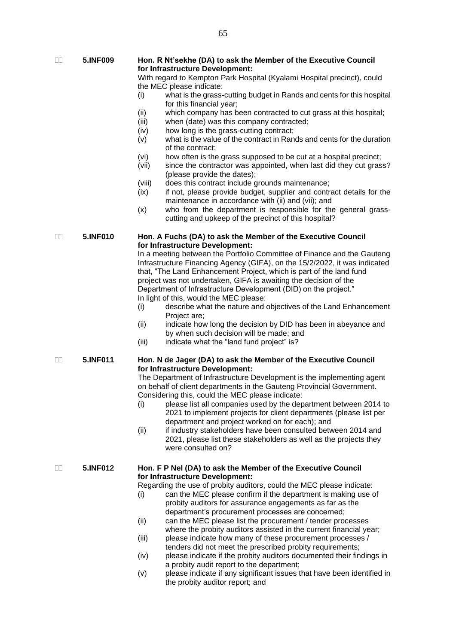**5.INF009 Hon. R Nt'sekhe (DA) to ask the Member of the Executive Council for Infrastructure Development:**

> With regard to Kempton Park Hospital (Kyalami Hospital precinct), could the MEC please indicate:

- (i) what is the grass-cutting budget in Rands and cents for this hospital for this financial year;
- (ii) which company has been contracted to cut grass at this hospital;
- (iii) when (date) was this company contracted;
- (iv) how long is the grass-cutting contract;
- $\overrightarrow{v}$  what is the value of the contract in Rands and cents for the duration of the contract;
- (vi) how often is the grass supposed to be cut at a hospital precinct;
- (vii) since the contractor was appointed, when last did they cut grass? (please provide the dates);
- (viii) does this contract include grounds maintenance;
- (ix) if not, please provide budget, supplier and contract details for the maintenance in accordance with (ii) and (vii); and
- (x) who from the department is responsible for the general grasscutting and upkeep of the precinct of this hospital?

#### **5.INF010 Hon. A Fuchs (DA) to ask the Member of the Executive Council for Infrastructure Development:**

In a meeting between the Portfolio Committee of Finance and the Gauteng Infrastructure Financing Agency (GIFA), on the 15/2/2022, it was indicated that, "The Land Enhancement Project, which is part of the land fund project was not undertaken, GIFA is awaiting the decision of the Department of Infrastructure Development (DID) on the project." In light of this, would the MEC please:

- (i) describe what the nature and objectives of the Land Enhancement Project are;
- (ii) indicate how long the decision by DID has been in abeyance and by when such decision will be made; and
- (iii) indicate what the "land fund project" is?
- **5.INF011 Hon. N de Jager (DA) to ask the Member of the Executive Council for Infrastructure Development:**

The Department of Infrastructure Development is the implementing agent on behalf of client departments in the Gauteng Provincial Government. Considering this, could the MEC please indicate:

- (i) please list all companies used by the department between 2014 to 2021 to implement projects for client departments (please list per department and project worked on for each); and
- (ii) if industry stakeholders have been consulted between 2014 and 2021, please list these stakeholders as well as the projects they were consulted on?

### **5.INF012 Hon. F P Nel (DA) to ask the Member of the Executive Council for Infrastructure Development:**

Regarding the use of probity auditors, could the MEC please indicate:

- (i) can the MEC please confirm if the department is making use of probity auditors for assurance engagements as far as the department's procurement processes are concerned;
- (ii) can the MEC please list the procurement / tender processes where the probity auditors assisted in the current financial year;
- (iii) please indicate how many of these procurement processes / tenders did not meet the prescribed probity requirements;
- (iv) please indicate if the probity auditors documented their findings in a probity audit report to the department;
- (v) please indicate if any significant issues that have been identified in the probity auditor report; and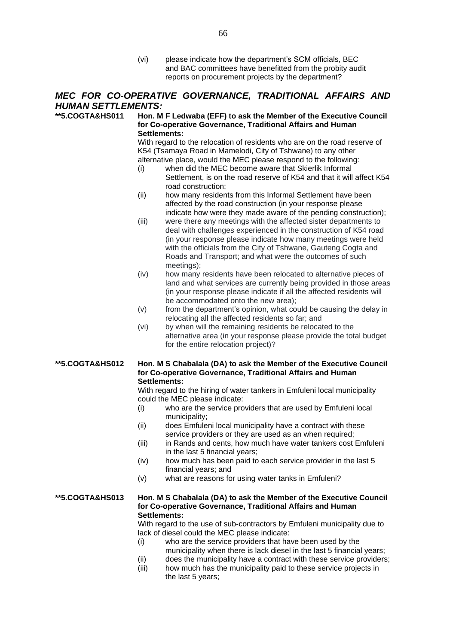(vi) please indicate how the department's SCM officials, BEC and BAC committees have benefitted from the probity audit reports on procurement projects by the department?

### *MEC FOR CO-OPERATIVE GOVERNANCE, TRADITIONAL AFFAIRS AND HUMAN SETTLEMENTS:*

### **\*\*5.COGTA&HS011 Hon. M F Ledwaba (EFF) to ask the Member of the Executive Council for Co-operative Governance, Traditional Affairs and Human Settlements:**

With regard to the relocation of residents who are on the road reserve of K54 (Tsamaya Road in Mamelodi, City of Tshwane) to any other alternative place, would the MEC please respond to the following:

- (i) when did the MEC become aware that Skierlik Informal Settlement, is on the road reserve of K54 and that it will affect K54 road construction;
- (ii) how many residents from this Informal Settlement have been affected by the road construction (in your response please indicate how were they made aware of the pending construction);
- (iii) were there any meetings with the affected sister departments to deal with challenges experienced in the construction of K54 road (in your response please indicate how many meetings were held with the officials from the City of Tshwane, Gauteng Cogta and Roads and Transport; and what were the outcomes of such meetings);
- (iv) how many residents have been relocated to alternative pieces of land and what services are currently being provided in those areas (in your response please indicate if all the affected residents will be accommodated onto the new area);
- (v) from the department's opinion, what could be causing the delay in relocating all the affected residents so far; and
- (vi) by when will the remaining residents be relocated to the alternative area (in your response please provide the total budget for the entire relocation project)?

### **\*\*5.COGTA&HS012 Hon. M S Chabalala (DA) to ask the Member of the Executive Council for Co-operative Governance, Traditional Affairs and Human Settlements:**

With regard to the hiring of water tankers in Emfuleni local municipality could the MEC please indicate:

- (i) who are the service providers that are used by Emfuleni local municipality;
- (ii) does Emfuleni local municipality have a contract with these service providers or they are used as an when required;
- (iii) in Rands and cents, how much have water tankers cost Emfuleni in the last 5 financial years;
- (iv) how much has been paid to each service provider in the last 5 financial years; and
- (v) what are reasons for using water tanks in Emfuleni?

### **\*\*5.COGTA&HS013 Hon. M S Chabalala (DA) to ask the Member of the Executive Council for Co-operative Governance, Traditional Affairs and Human Settlements:**

With regard to the use of sub-contractors by Emfuleni municipality due to lack of diesel could the MEC please indicate:

- (i) who are the service providers that have been used by the municipality when there is lack diesel in the last 5 financial years;
- (ii) does the municipality have a contract with these service providers;
- (iii) how much has the municipality paid to these service projects in the last 5 years;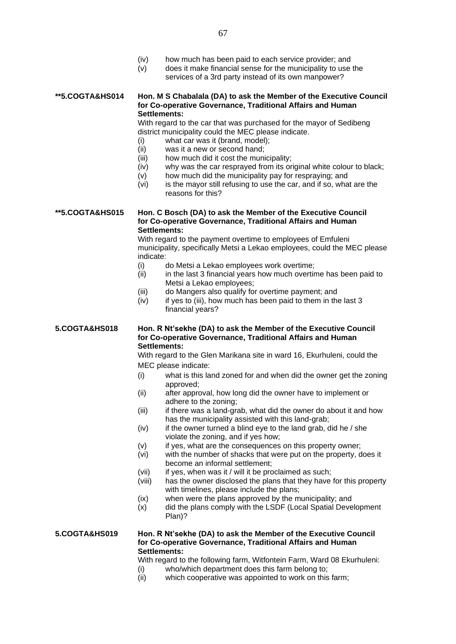- (iv) how much has been paid to each service provider; and
- (v) does it make financial sense for the municipality to use the services of a 3rd party instead of its own manpower?

### **\*\*5.COGTA&HS014 Hon. M S Chabalala (DA) to ask the Member of the Executive Council for Co-operative Governance, Traditional Affairs and Human Settlements:**

With regard to the car that was purchased for the mayor of Sedibeng district municipality could the MEC please indicate.

- (i) what car was it (brand, model);
- (ii) was it a new or second hand;
- (iii) how much did it cost the municipality;
- (iv) why was the car resprayed from its original white colour to black;
- (v) how much did the municipality pay for respraying; and
- (vi) is the mayor still refusing to use the car, and if so, what are the reasons for this?

**\*\*5.COGTA&HS015 Hon. C Bosch (DA) to ask the Member of the Executive Council for Co-operative Governance, Traditional Affairs and Human Settlements:**

With regard to the payment overtime to employees of Emfuleni municipality, specifically Metsi a Lekao employees, could the MEC please indicate:

- (i) do Metsi a Lekao employees work overtime;
- (ii) in the last 3 financial years how much overtime has been paid to Metsi a Lekao employees;
- (iii) do Mangers also qualify for overtime payment; and
- (iv) if yes to (iii), how much has been paid to them in the last 3 financial years?

**5.COGTA&HS018 Hon. R Nt'sekhe (DA) to ask the Member of the Executive Council for Co-operative Governance, Traditional Affairs and Human Settlements:**

> With regard to the Glen Marikana site in ward 16, Ekurhuleni, could the MEC please indicate:

- (i) what is this land zoned for and when did the owner get the zoning approved;
- (ii) after approval, how long did the owner have to implement or adhere to the zoning;
- (iii) if there was a land-grab, what did the owner do about it and how has the municipality assisted with this land-grab;
- $(iv)$  if the owner turned a blind eye to the land grab, did he / she violate the zoning, and if yes how;
- (v) if yes, what are the consequences on this property owner;
- (vi) with the number of shacks that were put on the property, does it become an informal settlement;
- (vii) if yes, when was it / will it be proclaimed as such;
- (viii) has the owner disclosed the plans that they have for this property with timelines, please include the plans;
- (ix) when were the plans approved by the municipality; and
- $(x)$  did the plans comply with the LSDF (Local Spatial Development Plan)?

### **5.COGTA&HS019 Hon. R Nt'sekhe (DA) to ask the Member of the Executive Council for Co-operative Governance, Traditional Affairs and Human Settlements:**

With regard to the following farm, Witfontein Farm, Ward 08 Ekurhuleni:

- (i) who/which department does this farm belong to;
- (ii) which cooperative was appointed to work on this farm;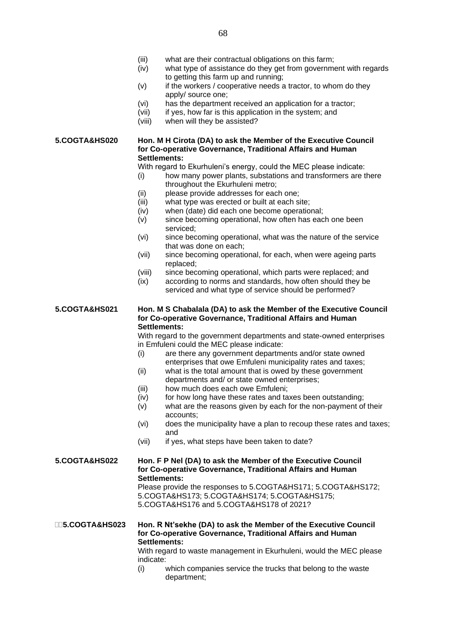- (iii) what are their contractual obligations on this farm;
- (iv) what type of assistance do they get from government with regards to getting this farm up and running;
- $(v)$  if the workers / cooperative needs a tractor, to whom do they apply/ source one;
- (vi) has the department received an application for a tractor;
- (vii) if yes, how far is this application in the system; and
- (viii) when will they be assisted?

### **5.COGTA&HS020 Hon. M H Cirota (DA) to ask the Member of the Executive Council for Co-operative Governance, Traditional Affairs and Human Settlements:**

With regard to Ekurhuleni's energy, could the MEC please indicate:

- (i) how many power plants, substations and transformers are there throughout the Ekurhuleni metro;
- (ii) please provide addresses for each one;
- (iii) what type was erected or built at each site;
- (iv) when (date) did each one become operational;
- (v) since becoming operational, how often has each one been serviced;
- (vi) since becoming operational, what was the nature of the service that was done on each;
- (vii) since becoming operational, for each, when were ageing parts replaced;
- (viii) since becoming operational, which parts were replaced; and
- (ix) according to norms and standards, how often should they be serviced and what type of service should be performed?

### **5.COGTA&HS021 Hon. M S Chabalala (DA) to ask the Member of the Executive Council for Co-operative Governance, Traditional Affairs and Human Settlements:**

With regard to the government departments and state-owned enterprises in Emfuleni could the MEC please indicate:

- (i) are there any government departments and/or state owned enterprises that owe Emfuleni municipality rates and taxes;
- (ii) what is the total amount that is owed by these government departments and/ or state owned enterprises;
- (iii) how much does each owe Emfuleni;
- (iv) for how long have these rates and taxes been outstanding;
- $(v)$  what are the reasons given by each for the non-payment of their accounts;
- (vi) does the municipality have a plan to recoup these rates and taxes; and
- (vii) if yes, what steps have been taken to date?

### **5.COGTA&HS022 Hon. F P Nel (DA) to ask the Member of the Executive Council for Co-operative Governance, Traditional Affairs and Human Settlements:** Please provide the responses to 5.COGTA&HS171; 5.COGTA&HS172;

5.COGTA&HS173; 5.COGTA&HS174; 5.COGTA&HS175; 5.COGTA&HS176 and 5.COGTA&HS178 of 2021?

### **5.COGTA&HS023 Hon. R Nt'sekhe (DA) to ask the Member of the Executive Council for Co-operative Governance, Traditional Affairs and Human Settlements:**

With regard to waste management in Ekurhuleni, would the MEC please indicate:

(i) which companies service the trucks that belong to the waste department;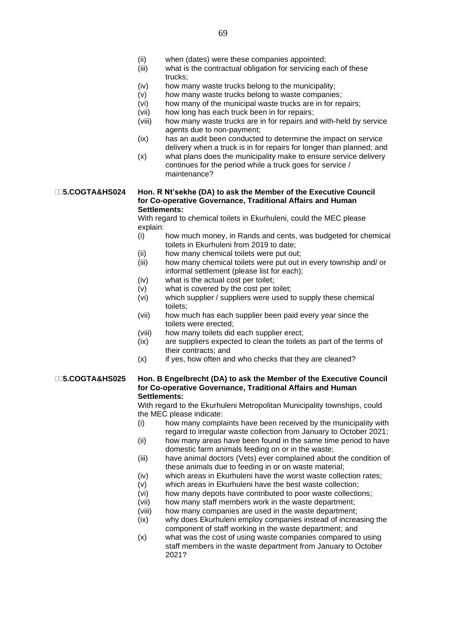- (ii) when (dates) were these companies appointed;
- (iii) what is the contractual obligation for servicing each of these trucks;
- (iv) how many waste trucks belong to the municipality;
- (v) how many waste trucks belong to waste companies;
- (vi) how many of the municipal waste trucks are in for repairs;
- (vii) how long has each truck been in for repairs;
- (viii) how many waste trucks are in for repairs and with-held by service agents due to non-payment;
- (ix) has an audit been conducted to determine the impact on service delivery when a truck is in for repairs for longer than planned; and
- (x) what plans does the municipality make to ensure service delivery continues for the period while a truck goes for service / maintenance?

### **5.COGTA&HS024 Hon. R Nt'sekhe (DA) to ask the Member of the Executive Council for Co-operative Governance, Traditional Affairs and Human Settlements:**

With regard to chemical toilets in Ekurhuleni, could the MEC please explain:

- (i) how much money, in Rands and cents, was budgeted for chemical toilets in Ekurhuleni from 2019 to date;
- (ii) how many chemical toilets were put out;
- (iii) how many chemical toilets were put out in every township and/ or informal settlement (please list for each);
- (iv) what is the actual cost per toilet;
- (v) what is covered by the cost per toilet;
- (vi) which supplier / suppliers were used to supply these chemical toilets;
- (vii) how much has each supplier been paid every year since the toilets were erected;
- (viii) how many toilets did each supplier erect;
- (ix) are suppliers expected to clean the toilets as part of the terms of their contracts; and
- (x) if yes, how often and who checks that they are cleaned?

### **5.COGTA&HS025 Hon. B Engelbrecht (DA) to ask the Member of the Executive Council for Co-operative Governance, Traditional Affairs and Human Settlements:**

With regard to the Ekurhuleni Metropolitan Municipality townships, could the MEC please indicate:

- (i) how many complaints have been received by the municipality with regard to irregular waste collection from January to October 2021;
- (ii) how many areas have been found in the same time period to have domestic farm animals feeding on or in the waste;
- (iii) have animal doctors (Vets) ever complained about the condition of these animals due to feeding in or on waste material;
- (iv) which areas in Ekurhuleni have the worst waste collection rates;
- (v) which areas in Ekurhuleni have the best waste collection;
- (vi) how many depots have contributed to poor waste collections;
- (vii) how many staff members work in the waste department;
- (viii) how many companies are used in the waste department;
- (ix) why does Ekurhuleni employ companies instead of increasing the component of staff working in the waste department; and
- (x) what was the cost of using waste companies compared to using staff members in the waste department from January to October 2021?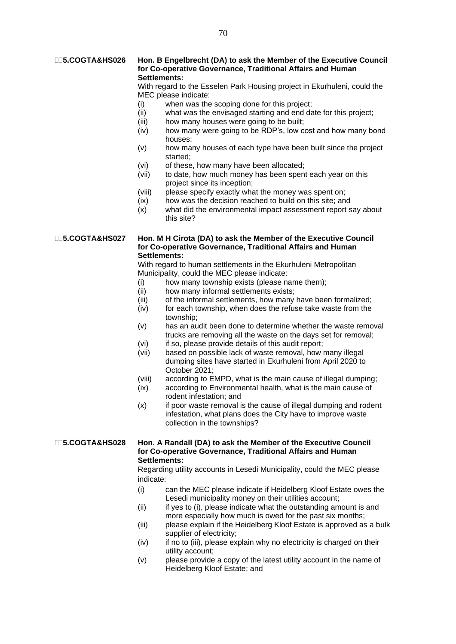### **5.COGTA&HS026 Hon. B Engelbrecht (DA) to ask the Member of the Executive Council for Co-operative Governance, Traditional Affairs and Human Settlements:**

With regard to the Esselen Park Housing project in Ekurhuleni, could the MEC please indicate:

- (i) when was the scoping done for this project;
- (ii) what was the envisaged starting and end date for this project;
- (iii) how many houses were going to be built;
- (iv) how many were going to be RDP's, low cost and how many bond houses;
- (v) how many houses of each type have been built since the project started;
- (vi) of these, how many have been allocated;
- (vii) to date, how much money has been spent each year on this project since its inception;
- (viii) please specify exactly what the money was spent on;
- (ix) how was the decision reached to build on this site; and
- (x) what did the environmental impact assessment report say about this site?

**5.COGTA&HS027 Hon. M H Cirota (DA) to ask the Member of the Executive Council for Co-operative Governance, Traditional Affairs and Human Settlements:**

> With regard to human settlements in the Ekurhuleni Metropolitan Municipality, could the MEC please indicate:

- (i) how many township exists (please name them);
- (ii) how many informal settlements exists;
- (iii) of the informal settlements, how many have been formalized;
- (iv) for each township, when does the refuse take waste from the township;
- (v) has an audit been done to determine whether the waste removal trucks are removing all the waste on the days set for removal;
- (vi) if so, please provide details of this audit report;
- (vii) based on possible lack of waste removal, how many illegal dumping sites have started in Ekurhuleni from April 2020 to October 2021;
- (viii) according to EMPD, what is the main cause of illegal dumping;
- (ix) according to Environmental health, what is the main cause of rodent infestation; and
- (x) if poor waste removal is the cause of illegal dumping and rodent infestation, what plans does the City have to improve waste collection in the townships?

**5.COGTA&HS028 Hon. A Randall (DA) to ask the Member of the Executive Council for Co-operative Governance, Traditional Affairs and Human Settlements:**

> Regarding utility accounts in Lesedi Municipality, could the MEC please indicate:

- (i) can the MEC please indicate if Heidelberg Kloof Estate owes the Lesedi municipality money on their utilities account;
- (ii) if yes to (i), please indicate what the outstanding amount is and more especially how much is owed for the past six months;
- (iii) please explain if the Heidelberg Kloof Estate is approved as a bulk supplier of electricity;
- (iv) if no to (iii), please explain why no electricity is charged on their utility account;
- (v) please provide a copy of the latest utility account in the name of Heidelberg Kloof Estate; and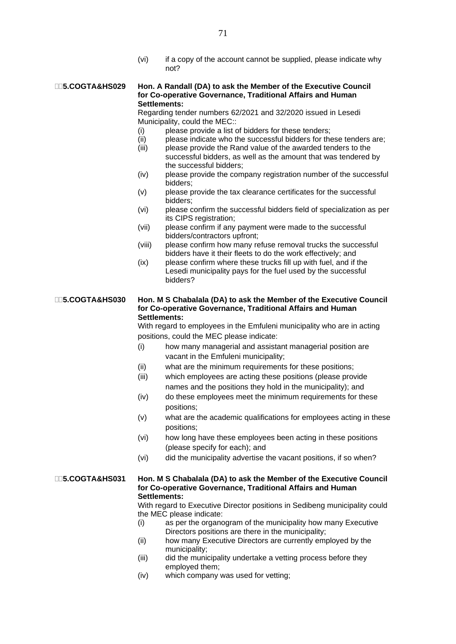(vi) if a copy of the account cannot be supplied, please indicate why not?

### **5.COGTA&HS029 Hon. A Randall (DA) to ask the Member of the Executive Council for Co-operative Governance, Traditional Affairs and Human Settlements:**

Regarding tender numbers 62/2021 and 32/2020 issued in Lesedi Municipality, could the MEC::

- (i) please provide a list of bidders for these tenders;
- (ii) please indicate who the successful bidders for these tenders are;
- (iii) please provide the Rand value of the awarded tenders to the successful bidders, as well as the amount that was tendered by the successful bidders;
- (iv) please provide the company registration number of the successful bidders;
- (v) please provide the tax clearance certificates for the successful bidders;
- (vi) please confirm the successful bidders field of specialization as per its CIPS registration;
- (vii) please confirm if any payment were made to the successful bidders/contractors upfront;
- (viii) please confirm how many refuse removal trucks the successful bidders have it their fleets to do the work effectively; and
- (ix) please confirm where these trucks fill up with fuel, and if the Lesedi municipality pays for the fuel used by the successful bidders?

### **5.COGTA&HS030 Hon. M S Chabalala (DA) to ask the Member of the Executive Council for Co-operative Governance, Traditional Affairs and Human Settlements:**

With regard to employees in the Emfuleni municipality who are in acting positions, could the MEC please indicate:

- (i) how many managerial and assistant managerial position are vacant in the Emfuleni municipality;
- (ii) what are the minimum requirements for these positions;
- (iii) which employees are acting these positions (please provide names and the positions they hold in the municipality); and
- (iv) do these employees meet the minimum requirements for these positions;
- (v) what are the academic qualifications for employees acting in these positions;
- (vi) how long have these employees been acting in these positions (please specify for each); and
- (vi) did the municipality advertise the vacant positions, if so when?

### **5.COGTA&HS031 Hon. M S Chabalala (DA) to ask the Member of the Executive Council for Co-operative Governance, Traditional Affairs and Human Settlements:**

With regard to Executive Director positions in Sedibeng municipality could the MEC please indicate:

- (i) as per the organogram of the municipality how many Executive Directors positions are there in the municipality;
- (ii) how many Executive Directors are currently employed by the municipality;
- (iii) did the municipality undertake a vetting process before they employed them;
- (iv) which company was used for vetting;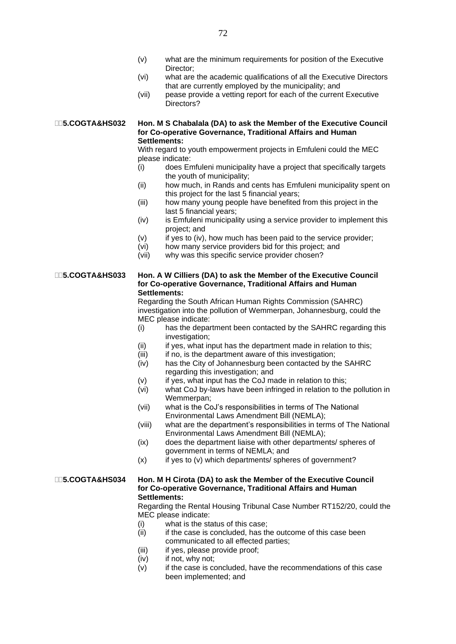- (v) what are the minimum requirements for position of the Executive Director;
- (vi) what are the academic qualifications of all the Executive Directors that are currently employed by the municipality; and
- (vii) pease provide a vetting report for each of the current Executive Directors?

### **5.COGTA&HS032 Hon. M S Chabalala (DA) to ask the Member of the Executive Council for Co-operative Governance, Traditional Affairs and Human Settlements:**

With regard to youth empowerment projects in Emfuleni could the MEC please indicate:

- (i) does Emfuleni municipality have a project that specifically targets the youth of municipality;
- (ii) how much, in Rands and cents has Emfuleni municipality spent on this project for the last 5 financial years;
- (iii) how many young people have benefited from this project in the last 5 financial years;
- (iv) is Emfuleni municipality using a service provider to implement this project; and
- (v) if yes to (iv), how much has been paid to the service provider;
- (vi) how many service providers bid for this project; and
- (vii) why was this specific service provider chosen?

### **5.COGTA&HS033 Hon. A W Cilliers (DA) to ask the Member of the Executive Council for Co-operative Governance, Traditional Affairs and Human Settlements:**

Regarding the South African Human Rights Commission (SAHRC) investigation into the pollution of Wemmerpan, Johannesburg, could the MEC please indicate:

- (i) has the department been contacted by the SAHRC regarding this investigation;
- (ii) if yes, what input has the department made in relation to this;
- (iii) if no, is the department aware of this investigation;
- (iv) has the City of Johannesburg been contacted by the SAHRC regarding this investigation; and
- (v) if yes, what input has the CoJ made in relation to this;
- (vi) what CoJ by-laws have been infringed in relation to the pollution in Wemmerpan;
- (vii) what is the CoJ's responsibilities in terms of The National Environmental Laws Amendment Bill (NEMLA);
- (viii) what are the department's responsibilities in terms of The National Environmental Laws Amendment Bill (NEMLA);
- (ix) does the department liaise with other departments/ spheres of government in terms of NEMLA; and
- $(x)$  if yes to  $(v)$  which departments/ spheres of government?

### **5.COGTA&HS034 Hon. M H Cirota (DA) to ask the Member of the Executive Council for Co-operative Governance, Traditional Affairs and Human Settlements:**

Regarding the Rental Housing Tribunal Case Number RT152/20, could the MEC please indicate:

- (i) what is the status of this case;
- $(ii)$  if the case is concluded, has the outcome of this case been communicated to all effected parties;
- (iii) if yes, please provide proof;
- (iv) if not, why not;
- (v) if the case is concluded, have the recommendations of this case been implemented; and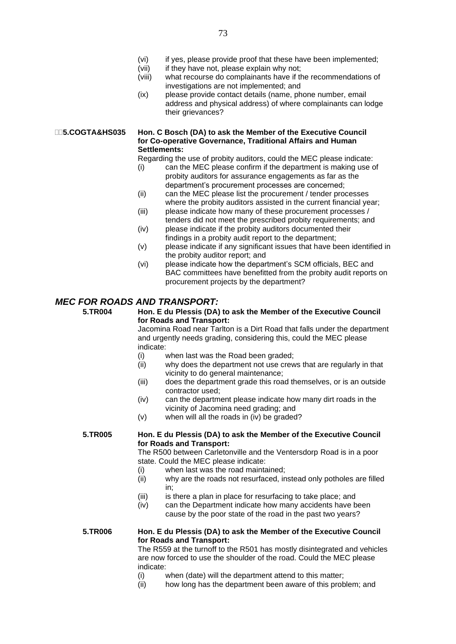- (vi) if yes, please provide proof that these have been implemented;
- (vii) if they have not, please explain why not;
- (viii) what recourse do complainants have if the recommendations of investigations are not implemented; and
- (ix) please provide contact details (name, phone number, email address and physical address) of where complainants can lodge their grievances?

### **5.COGTA&HS035 Hon. C Bosch (DA) to ask the Member of the Executive Council for Co-operative Governance, Traditional Affairs and Human Settlements:**

Regarding the use of probity auditors, could the MEC please indicate:

- (i) can the MEC please confirm if the department is making use of probity auditors for assurance engagements as far as the department's procurement processes are concerned;
- (ii) can the MEC please list the procurement / tender processes where the probity auditors assisted in the current financial year;
- (iii) please indicate how many of these procurement processes / tenders did not meet the prescribed probity requirements; and
- (iv) please indicate if the probity auditors documented their findings in a probity audit report to the department;
- (v) please indicate if any significant issues that have been identified in the probity auditor report; and
- (vi) please indicate how the department's SCM officials, BEC and BAC committees have benefitted from the probity audit reports on procurement projects by the department?

### *MEC FOR ROADS AND TRANSPORT:*

### **5.TR004 Hon. E du Plessis (DA) to ask the Member of the Executive Council for Roads and Transport:**

Jacomina Road near Tarlton is a Dirt Road that falls under the department and urgently needs grading, considering this, could the MEC please indicate:

- (i) when last was the Road been graded;
- (ii) why does the department not use crews that are regularly in that vicinity to do general maintenance;
- (iii) does the department grade this road themselves, or is an outside contractor used;
- (iv) can the department please indicate how many dirt roads in the vicinity of Jacomina need grading; and
- (v) when will all the roads in (iv) be graded?

### **5.TR005 Hon. E du Plessis (DA) to ask the Member of the Executive Council for Roads and Transport:**

The R500 between Carletonville and the Ventersdorp Road is in a poor state. Could the MEC please indicate:

- (i) when last was the road maintained;
- (ii) why are the roads not resurfaced, instead only potholes are filled in;
- (iii) is there a plan in place for resurfacing to take place; and
- (iv) can the Department indicate how many accidents have been cause by the poor state of the road in the past two years?

### **5.TR006 Hon. E du Plessis (DA) to ask the Member of the Executive Council for Roads and Transport:**

The R559 at the turnoff to the R501 has mostly disintegrated and vehicles are now forced to use the shoulder of the road. Could the MEC please indicate:

- (i) when (date) will the department attend to this matter;
- (ii) how long has the department been aware of this problem; and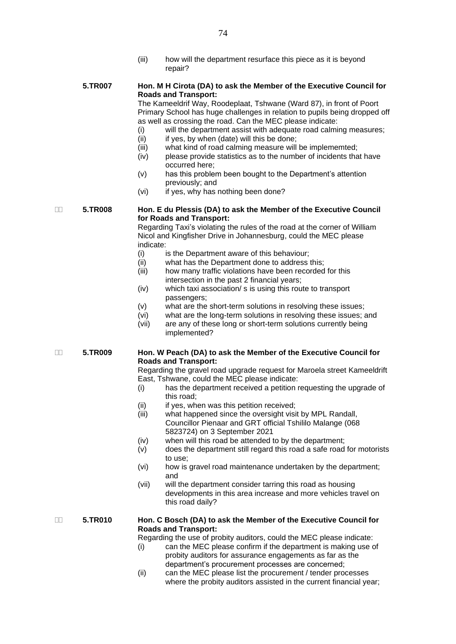(iii) how will the department resurface this piece as it is beyond repair?

### **5.TR007 Hon. M H Cirota (DA) to ask the Member of the Executive Council for Roads and Transport:**

The Kameeldrif Way, Roodeplaat, Tshwane (Ward 87), in front of Poort Primary School has huge challenges in relation to pupils being dropped off as well as crossing the road. Can the MEC please indicate:

- (i) will the department assist with adequate road calming measures;
- $(ii)$  if yes, by when (date) will this be done;
- (iii) what kind of road calming measure will be implememted;
- (iv) please provide statistics as to the number of incidents that have occurred here;
- (v) has this problem been bought to the Department's attention previously; and
- (vi) if yes, why has nothing been done?

### **5.TR008 Hon. E du Plessis (DA) to ask the Member of the Executive Council for Roads and Transport:**

Regarding Taxi's violating the rules of the road at the corner of William Nicol and Kingfisher Drive in Johannesburg, could the MEC please indicate:

- (i) is the Department aware of this behaviour;
- (ii) what has the Department done to address this;
- (iii) how many traffic violations have been recorded for this intersection in the past 2 financial years;
- (iv) which taxi association/ s is using this route to transport passengers;
- (v) what are the short-term solutions in resolving these issues;
- (vi) what are the long-term solutions in resolving these issues; and
- (vii) are any of these long or short-term solutions currently being implemented?

### **5.TR009 Hon. W Peach (DA) to ask the Member of the Executive Council for Roads and Transport:**

Regarding the gravel road upgrade request for Maroela street Kameeldrift East, Tshwane, could the MEC please indicate:

- (i) has the department received a petition requesting the upgrade of this road;
- (ii) if yes, when was this petition received;
- (iii) what happened since the oversight visit by MPL Randall, Councillor Pienaar and GRT official Tshililo Malange (068 5823724) on 3 September 2021
- (iv) when will this road be attended to by the department;
- (v) does the department still regard this road a safe road for motorists to use;
- (vi) how is gravel road maintenance undertaken by the department; and
- (vii) will the department consider tarring this road as housing developments in this area increase and more vehicles travel on this road daily?

### **5.TR010 Hon. C Bosch (DA) to ask the Member of the Executive Council for Roads and Transport:**

Regarding the use of probity auditors, could the MEC please indicate:

- (i) can the MEC please confirm if the department is making use of probity auditors for assurance engagements as far as the department's procurement processes are concerned;
- (ii) can the MEC please list the procurement / tender processes where the probity auditors assisted in the current financial year;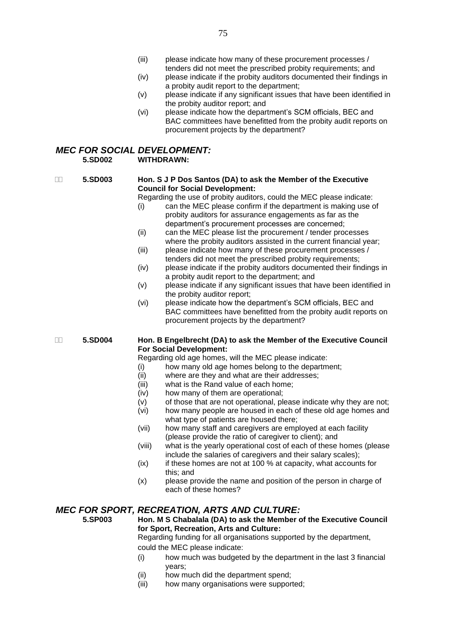- (iii) please indicate how many of these procurement processes / tenders did not meet the prescribed probity requirements; and
- (iv) please indicate if the probity auditors documented their findings in a probity audit report to the department;
- (v) please indicate if any significant issues that have been identified in the probity auditor report; and
- (vi) please indicate how the department's SCM officials, BEC and BAC committees have benefitted from the probity audit reports on procurement projects by the department?

### *MEC FOR SOCIAL DEVELOPMENT:*<br>5 SD002 WITHDRAWN: **5.SD002 WITHDRAWN:**

### **5.SD003 Hon. S J P Dos Santos (DA) to ask the Member of the Executive Council for Social Development:**

Regarding the use of probity auditors, could the MEC please indicate:

- (i) can the MEC please confirm if the department is making use of probity auditors for assurance engagements as far as the department's procurement processes are concerned;
- (ii) can the MEC please list the procurement / tender processes where the probity auditors assisted in the current financial year;
- (iii) please indicate how many of these procurement processes / tenders did not meet the prescribed probity requirements;
- (iv) please indicate if the probity auditors documented their findings in a probity audit report to the department; and
- (v) please indicate if any significant issues that have been identified in the probity auditor report;
- (vi) please indicate how the department's SCM officials, BEC and BAC committees have benefitted from the probity audit reports on procurement projects by the department?

### **5.SD004 Hon. B Engelbrecht (DA) to ask the Member of the Executive Council For Social Development:**

Regarding old age homes, will the MEC please indicate:

- (i) how many old age homes belong to the department;
- (ii) where are they and what are their addresses;
- (iii) what is the Rand value of each home;
- (iv) how many of them are operational;
- $(v)$  of those that are not operational, please indicate why they are not;
- (vi) how many people are housed in each of these old age homes and what type of patients are housed there;
- (vii) how many staff and caregivers are employed at each facility (please provide the ratio of caregiver to client); and
- (viii) what is the yearly operational cost of each of these homes (please include the salaries of caregivers and their salary scales);
- (ix) if these homes are not at 100 % at capacity, what accounts for this; and
- (x) please provide the name and position of the person in charge of each of these homes?

### *MEC FOR SPORT, RECREATION, ARTS AND CULTURE:*

**5.SP003 Hon. M S Chabalala (DA) to ask the Member of the Executive Council for Sport, Recreation, Arts and Culture:**

Regarding funding for all organisations supported by the department, could the MEC please indicate:

- (i) how much was budgeted by the department in the last 3 financial years;
- (ii) how much did the department spend;
- (iii) how many organisations were supported;